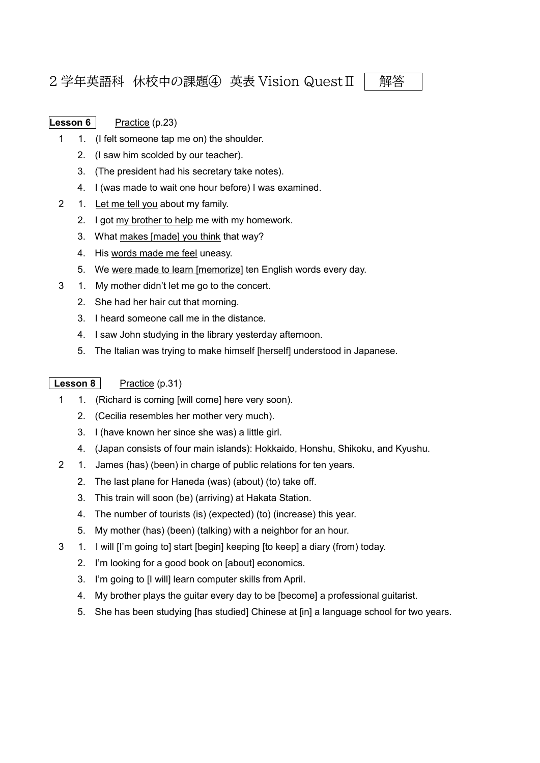## 2 学年英語科 休校中の課題④ 英表 Vision Quest Ⅱ | 解答

- **Lesson 6** Practice (p.23)
	- 1 1. (I felt someone tap me on) the shoulder.
		- 2. (I saw him scolded by our teacher).
		- 3. (The president had his secretary take notes).
		- 4. I (was made to wait one hour before) I was examined.
	- 2 1. Let me tell you about my family.
		- 2. I got my brother to help me with my homework.
		- 3. What makes [made] you think that way?
		- 4. His words made me feel uneasy.
		- 5. We were made to learn [memorize] ten English words every day.
	- 3 1. My mother didn't let me go to the concert.
		- 2. She had her hair cut that morning.
		- 3. I heard someone call me in the distance.
		- 4. I saw John studying in the library yesterday afternoon.
		- 5. The Italian was trying to make himself [herself] understood in Japanese.

## **Lesson 8** Practice (p.31)

- 1 1. (Richard is coming [will come] here very soon).
	- 2. (Cecilia resembles her mother very much).
	- 3. I (have known her since she was) a little girl.
	- 4. (Japan consists of four main islands): Hokkaido, Honshu, Shikoku, and Kyushu.
- 2 1. James (has) (been) in charge of public relations for ten years.
	- 2. The last plane for Haneda (was) (about) (to) take off.
	- 3. This train will soon (be) (arriving) at Hakata Station.
	- 4. The number of tourists (is) (expected) (to) (increase) this year.
	- 5. My mother (has) (been) (talking) with a neighbor for an hour.
- 3 1. I will [I'm going to] start [begin] keeping [to keep] a diary (from) today.
	- 2. I'm looking for a good book on [about] economics.
	- 3. I'm going to [I will] learn computer skills from April.
	- 4. My brother plays the guitar every day to be [become] a professional guitarist.
	- 5. She has been studying [has studied] Chinese at [in] a language school for two years.